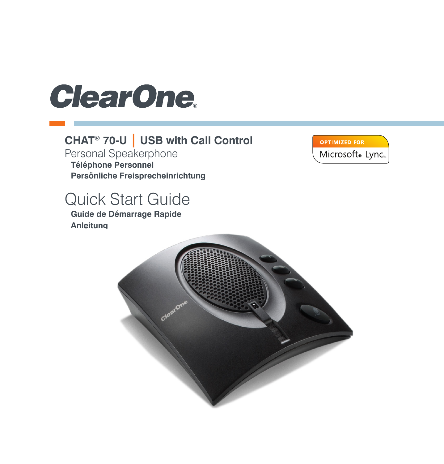# **ClearOne**

#### CHAT<sup>®</sup> 70-U | USB with Call Control

Personal Speakerphone Téléphone Personnel Persönliche Freisprecheinrichtung

## **Quick Start Guide**

Guide de Démarrage Rapide Anleitung



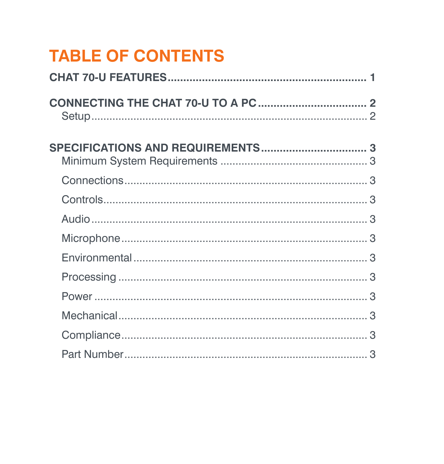# **TABLE OF CONTENTS**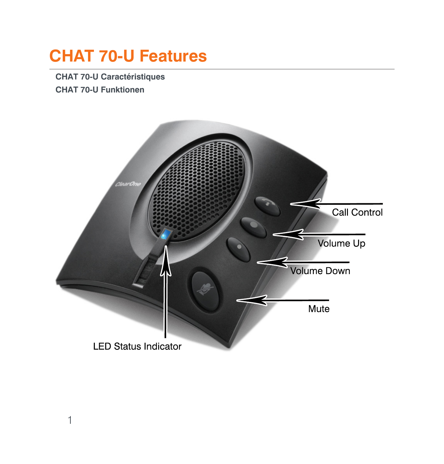## <span id="page-2-0"></span>**CHAT 70-U Features**

**CHAT 70-U Caractéristiques** CHAT 70-U Funktionen

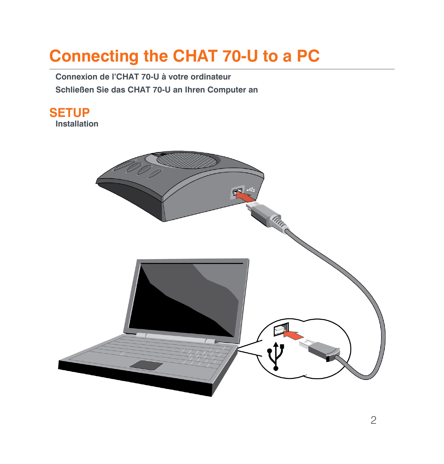# <span id="page-3-0"></span>**Connecting the CHAT 70-U to a PC**

Connexion de l'CHAT 70-U à votre ordinateur Schließen Sie das CHAT 70-U an Ihren Computer an

**SETUP** Installation

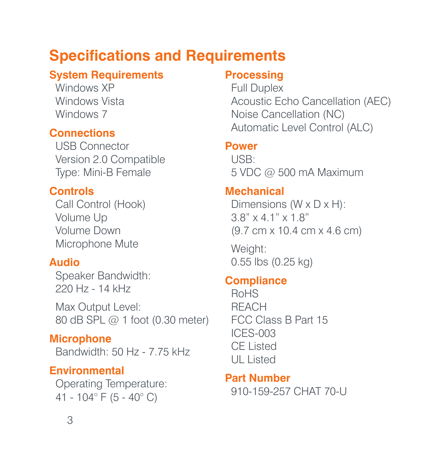## <span id="page-4-0"></span>**Specifications and Requirements**

#### **System Requirements**

Windows **XP** Windows Vista Windows 7

#### **Connections**

USB Connector Version 2.0 Compatible Type: Mini-B Female

#### **Controls**

Call Control (Hook) Volume Up Volume Down Microphone Mute

#### **Audio**

Speaker Bandwidth: 220 Hz - 14 kHz

Max Output Level: 80 dB SPL @ 1 foot (0.30 meter)

**Microphone** Bandwidth: 50 Hz - 7.75 kHz

#### **Environmental**

Operating Temperature: 41 - 104° F (5 - 40° C)

#### **Processing**

Full Duplex Acoustic Echo Cancellation (AEC) Noise Cancellation (NC) Automatic Level Control (ALC)

#### **Power**

USB: 5 VDC @ 500 mA Maximum

#### **Mechanical**

Dimensions (W x D x H): 3.8" x 4.1" x 1.8" (9.7 cm x 10.4 cm x 4.6 cm)

Weight: 0.55 lbs (0.25 kg)

#### **Compliance**

RoHS **REACH** FCC Class B Part 15 ICES-003 CE Listed UL Listed

**Part Number** 910-159-257 CHAT 70-U